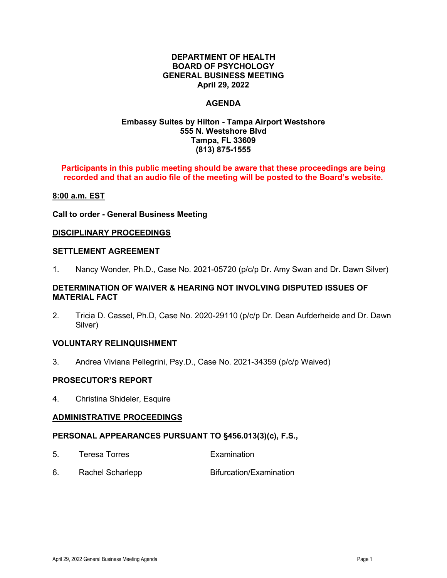## **DEPARTMENT OF HEALTH BOARD OF PSYCHOLOGY GENERAL BUSINESS MEETING April 29, 2022**

## **AGENDA**

## **Embassy Suites by Hilton - Tampa Airport Westshore 555 N. Westshore Blvd Tampa, FL 33609 (813) 875-1555**

### **Participants in this public meeting should be aware that these proceedings are being recorded and that an audio file of the meeting will be posted to the Board's website.**

### **8:00 a.m. EST**

#### **Call to order - General Business Meeting**

### **DISCIPLINARY PROCEEDINGS**

#### **SETTLEMENT AGREEMENT**

1. Nancy Wonder, Ph.D., Case No. 2021-05720 (p/c/p Dr. Amy Swan and Dr. Dawn Silver)

## **DETERMINATION OF WAIVER & HEARING NOT INVOLVING DISPUTED ISSUES OF MATERIAL FACT**

2. Tricia D. Cassel, Ph.D, Case No. 2020-29110 (p/c/p Dr. Dean Aufderheide and Dr. Dawn Silver)

### **VOLUNTARY RELINQUISHMENT**

3. Andrea Viviana Pellegrini, Psy.D., Case No. 2021-34359 (p/c/p Waived)

### **PROSECUTOR'S REPORT**

4. Christina Shideler, Esquire

### **ADMINISTRATIVE PROCEEDINGS**

### **PERSONAL APPEARANCES PURSUANT TO §456.013(3)(c), F.S.,**

- 5. Teresa Torres Examination
- 6. Rachel Scharlepp Bifurcation/Examination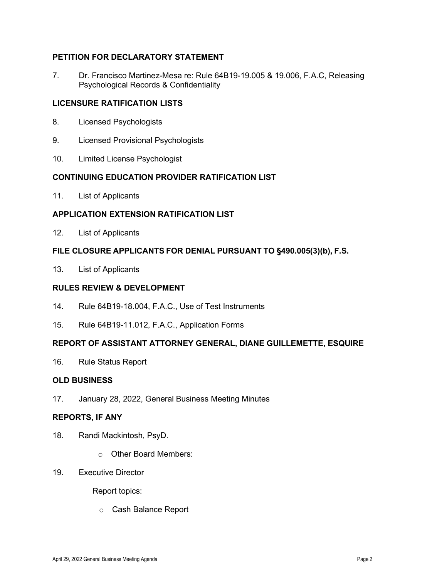# **PETITION FOR DECLARATORY STATEMENT**

7. Dr. Francisco Martinez-Mesa re: Rule 64B19-19.005 & 19.006, F.A.C, Releasing Psychological Records & Confidentiality

## **LICENSURE RATIFICATION LISTS**

- 8. Licensed Psychologists
- 9. Licensed Provisional Psychologists
- 10. Limited License Psychologist

## **CONTINUING EDUCATION PROVIDER RATIFICATION LIST**

11. List of Applicants

## **APPLICATION EXTENSION RATIFICATION LIST**

12. List of Applicants

## **FILE CLOSURE APPLICANTS FOR DENIAL PURSUANT TO §490.005(3)(b), F.S.**

13. List of Applicants

## **RULES REVIEW & DEVELOPMENT**

- 14. Rule 64B19-18.004, F.A.C., Use of Test Instruments
- 15. Rule 64B19-11.012, F.A.C., Application Forms

### **REPORT OF ASSISTANT ATTORNEY GENERAL, DIANE GUILLEMETTE, ESQUIRE**

16. Rule Status Report

### **OLD BUSINESS**

17. January 28, 2022, General Business Meeting Minutes

### **REPORTS, IF ANY**

- 18. Randi Mackintosh, PsyD.
	- o Other Board Members:
- 19. Executive Director

Report topics:

o Cash Balance Report